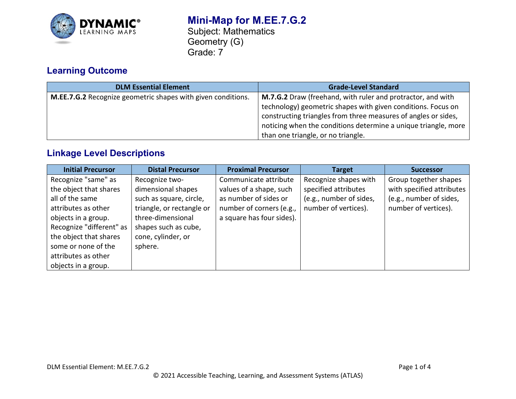

# **Learning Outcome**

| <b>DLM Essential Element</b>                                 | <b>Grade-Level Standard</b>                                                                                                                                                                                                                                                                                  |
|--------------------------------------------------------------|--------------------------------------------------------------------------------------------------------------------------------------------------------------------------------------------------------------------------------------------------------------------------------------------------------------|
| M.EE.7.G.2 Recognize geometric shapes with given conditions. | <b>M.7.G.2</b> Draw (freehand, with ruler and protractor, and with<br>technology) geometric shapes with given conditions. Focus on<br>constructing triangles from three measures of angles or sides,<br>noticing when the conditions determine a unique triangle, more<br>than one triangle, or no triangle. |

## **Linkage Level Descriptions**

| <b>Initial Precursor</b> | <b>Distal Precursor</b>   | <b>Proximal Precursor</b> | <b>Target</b>           | <b>Successor</b>          |
|--------------------------|---------------------------|---------------------------|-------------------------|---------------------------|
| Recognize "same" as      | Recognize two-            | Communicate attribute     | Recognize shapes with   | Group together shapes     |
| the object that shares   | dimensional shapes        | values of a shape, such   | specified attributes    | with specified attributes |
| all of the same          | such as square, circle,   | as number of sides or     | (e.g., number of sides, | (e.g., number of sides,   |
| attributes as other      | triangle, or rectangle or | number of corners (e.g.,  | number of vertices).    | number of vertices).      |
| objects in a group.      | three-dimensional         | a square has four sides). |                         |                           |
| Recognize "different" as | shapes such as cube,      |                           |                         |                           |
| the object that shares   | cone, cylinder, or        |                           |                         |                           |
| some or none of the      | sphere.                   |                           |                         |                           |
| attributes as other      |                           |                           |                         |                           |
| objects in a group.      |                           |                           |                         |                           |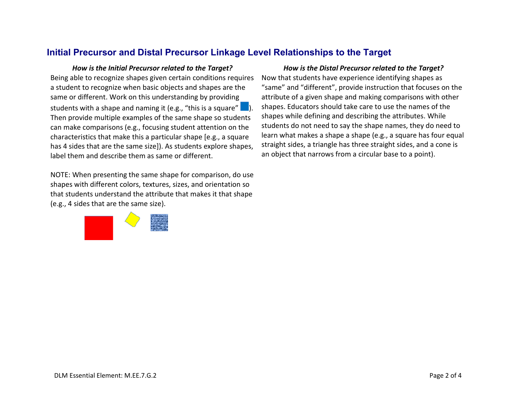### **Initial Precursor and Distal Precursor Linkage Level Relationships to the Target**

Being able to recognize shapes given certain conditions requires a student to recognize when basic objects and shapes are the same or different. Work on this understanding by providing students with a shape and naming it (e.g., "this is a square" Then provide multiple examples of the same shape so students can make comparisons (e.g., focusing student attention on the characteristics that make this a particular shape [e.g., a square has 4 sides that are the same size]). As students explore shapes, label them and describe them as same or different.

NOTE: When presenting the same shape for comparison, do use shapes with different colors, textures, sizes, and orientation so that students understand the attribute that makes it that shape (e.g., 4 sides that are the same size).



#### *How is the Initial Precursor related to the Target? How is the Distal Precursor related to the Target?*

Now that students have experience identifying shapes as "same" and "different", provide instruction that focuses on the attribute of a given shape and making comparisons with other shapes. Educators should take care to use the names of the shapes while defining and describing the attributes. While students do not need to say the shape names, they do need to learn what makes a shape a shape (e.g., a square has four equal straight sides, a triangle has three straight sides, and a cone is an object that narrows from a circular base to a point).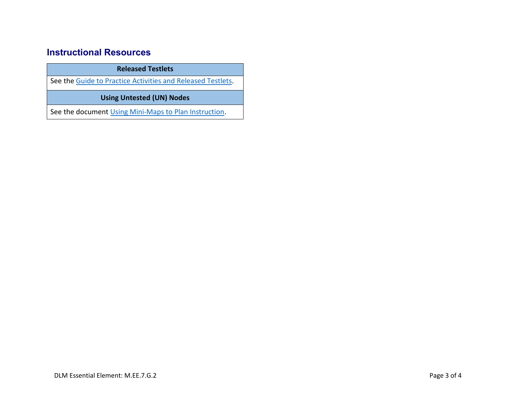## **Instructional Resources**

**Released Testlets**

See the [Guide to Practice Activities and Released Testlets.](https://dynamiclearningmaps.org/sites/default/files/documents/Manuals_Blueprints/Guide_to_Practice_Activities_and_Released_Testlets.pdf)

**Using Untested (UN) Nodes**

See the document [Using Mini-Maps to Plan Instruction.](https://dynamiclearningmaps.org/sites/default/files/documents/Using_Mini_Maps_to_Plan_Instruction.pdf)